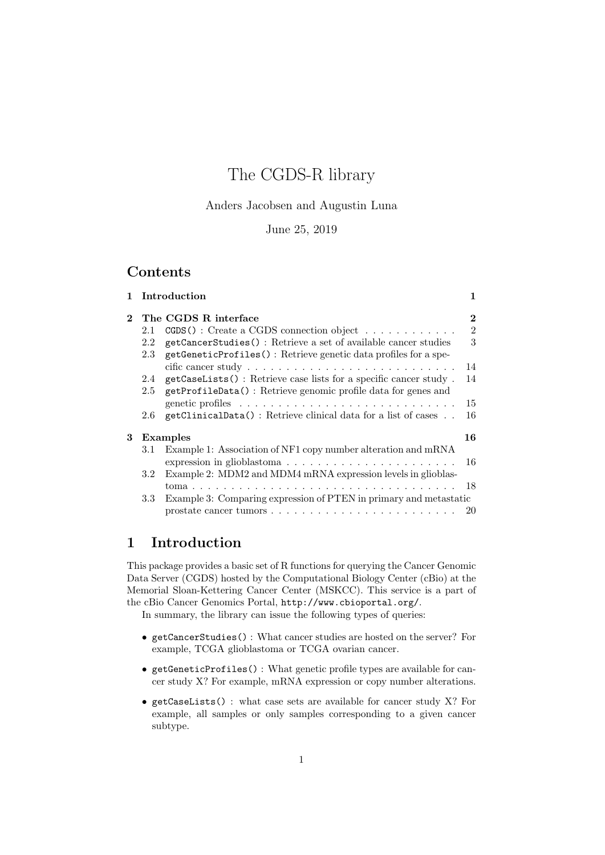# The CGDS-R library

Anders Jacobsen and Augustin Luna

June 25, 2019

## Contents

|              |         | 1 Introduction                                                                      | 1              |
|--------------|---------|-------------------------------------------------------------------------------------|----------------|
| $\mathbf{2}$ |         | The CGDS R interface                                                                | $\overline{2}$ |
|              | 2.1     | $CGDS()$ : Create a CGDS connection object                                          | $\overline{2}$ |
|              | 2.2     | getCancerStudies(): Retrieve a set of available cancer studies                      | 3              |
|              | 2.3     | getGeneticProfiles(): Retrieve genetic data profiles for a spe-                     | 14             |
|              | 2.4     | getCaseLists(): Retrieve case lists for a specific cancer study.                    | 14             |
|              | 2.5     | getProfileData(): Retrieve genomic profile data for genes and                       |                |
|              |         |                                                                                     | 15             |
|              | $2.6\,$ | getClinicalData(): Retrieve clinical data for a list of cases                       | 16             |
| 3            |         | Examples                                                                            | 16             |
|              | 3.1     | Example 1: Association of NF1 copy number alteration and mRNA                       |                |
|              |         | expression in glioblastoma                                                          | 16             |
|              | 3.2     | Example 2: MDM2 and MDM4 mRNA expression levels in glioblas-                        |                |
|              |         |                                                                                     |                |
|              | 3.3     | Example 3: Comparing expression of PTEN in primary and metastatic                   |                |
|              |         | prostate cancer tumors $\ldots \ldots \ldots \ldots \ldots \ldots \ldots \ldots 20$ |                |

# 1 Introduction

This package provides a basic set of R functions for querying the Cancer Genomic Data Server (CGDS) hosted by the Computational Biology Center (cBio) at the Memorial Sloan-Kettering Cancer Center (MSKCC). This service is a part of the cBio Cancer Genomics Portal, http://www.cbioportal.org/. In summary, the library can issue the following types of queries:

- getCancerStudies() : What cancer studies are hosted on the server? For example, TCGA glioblastoma or TCGA ovarian cancer.
- getGeneticProfiles() : What genetic profile types are available for cancer study X? For example, mRNA expression or copy number alterations.
- getCaseLists() : what case sets are available for cancer study X? For example, all samples or only samples corresponding to a given cancer subtype.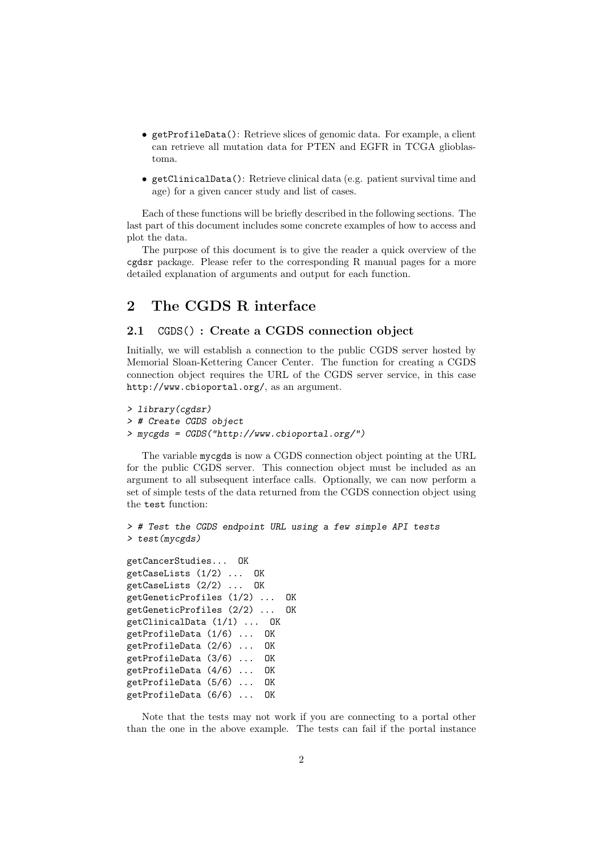- getProfileData(): Retrieve slices of genomic data. For example, a client can retrieve all mutation data for PTEN and EGFR in TCGA glioblastoma.
- getClinicalData(): Retrieve clinical data (e.g. patient survival time and age) for a given cancer study and list of cases.

Each of these functions will be briefly described in the following sections. The last part of this document includes some concrete examples of how to access and plot the data.

The purpose of this document is to give the reader a quick overview of the cgdsr package. Please refer to the corresponding R manual pages for a more detailed explanation of arguments and output for each function.

## 2 The CGDS R interface

#### 2.1 CGDS() : Create a CGDS connection object

Initially, we will establish a connection to the public CGDS server hosted by Memorial Sloan-Kettering Cancer Center. The function for creating a CGDS connection object requires the URL of the CGDS server service, in this case http://www.cbioportal.org/, as an argument.

```
> library(cgdsr)
> # Create CGDS object
> mycgds = CGDS("http://www.cbioportal.org/")
```
The variable mycgds is now a CGDS connection object pointing at the URL for the public CGDS server. This connection object must be included as an argument to all subsequent interface calls. Optionally, we can now perform a set of simple tests of the data returned from the CGDS connection object using the test function:

```
> # Test the CGDS endpoint URL using a few simple API tests
> test(mycgds)
```

```
getCancerStudies... OK
getCaseLists (1/2) ... OK
getCaseLists (2/2) ... OK
getGeneticProfiles (1/2) ... OK
getGeneticProfiles (2/2) ... OK
getClinicalData (1/1) ... OK
getProfileData (1/6) ... OK
getProfileData (2/6) ... OK
getProfileData (3/6) ... OK
getProfileData (4/6) ... OK
getProfileData (5/6) ... OK
getProfileData (6/6) ... OK
```
Note that the tests may not work if you are connecting to a portal other than the one in the above example. The tests can fail if the portal instance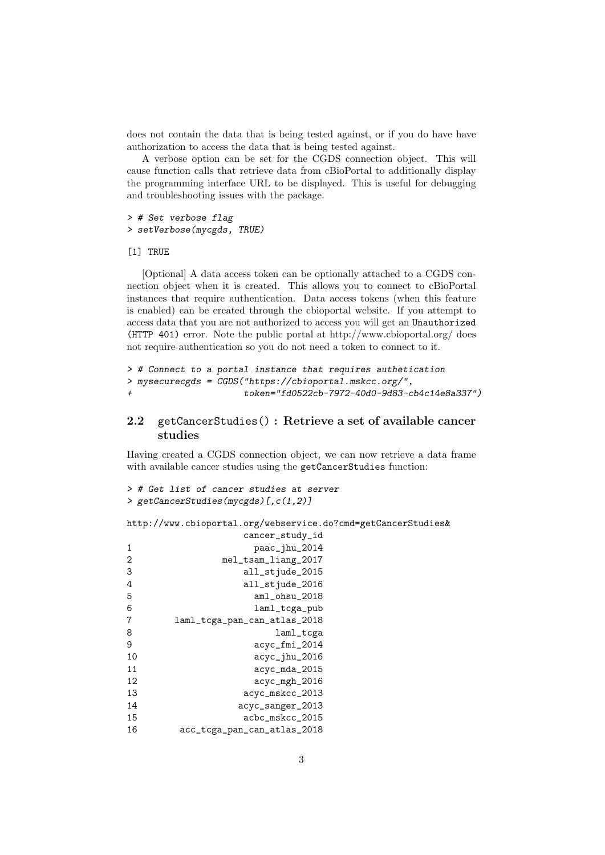does not contain the data that is being tested against, or if you do have have authorization to access the data that is being tested against.

A verbose option can be set for the CGDS connection object. This will cause function calls that retrieve data from cBioPortal to additionally display the programming interface URL to be displayed. This is useful for debugging and troubleshooting issues with the package.

> # Set verbose flag > setVerbose(mycgds, TRUE)

[1] TRUE

[Optional] A data access token can be optionally attached to a CGDS connection object when it is created. This allows you to connect to cBioPortal instances that require authentication. Data access tokens (when this feature is enabled) can be created through the cbioportal website. If you attempt to access data that you are not authorized to access you will get an Unauthorized (HTTP 401) error. Note the public portal at http://www.cbioportal.org/ does not require authentication so you do not need a token to connect to it.

```
> # Connect to a portal instance that requires authetication
> mysecurecgds = CGDS("https://cbioportal.mskcc.org/",
                      + token="fd0522cb-7972-40d0-9d83-cb4c14e8a337")
```
#### 2.2 getCancerStudies() : Retrieve a set of available cancer studies

Having created a CGDS connection object, we can now retrieve a data frame with available cancer studies using the getCancerStudies function:

```
> # Get list of cancer studies at server
> getCancerStudies(mycgds)[,c(1,2)]
```
http://www.cbioportal.org/webservice.do?cmd=getCancerStudies&

|    | cancer_study_id              |
|----|------------------------------|
| 1  | paac_jhu_2014                |
| 2  | mel_tsam_liang_2017          |
| 3  | all_stjude_2015              |
| 4  | all_stjude_2016              |
| 5  | aml_ohsu_2018                |
| 6  | laml_tcga_pub                |
| 7  | laml_tcga_pan_can_atlas_2018 |
| 8  | laml_tcga                    |
| 9  | acyc_fmi_2014                |
| 10 | acyc_jhu_2016                |
| 11 | acyc_mda_2015                |
| 12 | $acyc_mgh_2016$              |
| 13 | acyc_mskcc_2013              |
| 14 | acyc_sanger_2013             |
| 15 | acbc_mskcc_2015              |
| 16 | acc_tcga_pan_can_atlas_2018  |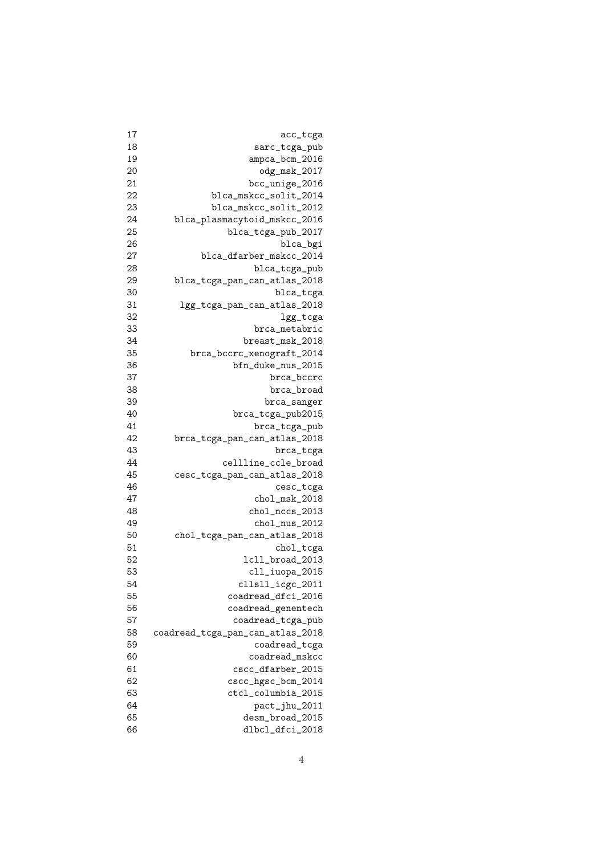| 17 | acc_tcga                         |
|----|----------------------------------|
| 18 | sarc_tcga_pub                    |
| 19 | ampca_bcm_2016                   |
| 20 | odg_msk_2017                     |
| 21 | bcc_unige_2016                   |
| 22 | blca_mskcc_solit_2014            |
| 23 | blca_mskcc_solit_2012            |
| 24 | blca_plasmacytoid_mskcc_2016     |
| 25 | blca_tcga_pub_2017               |
| 26 | blca_bgi                         |
| 27 | blca_dfarber_mskcc_2014          |
| 28 | blca_tcga_pub                    |
| 29 | blca_tcga_pan_can_atlas_2018     |
| 30 | blca_tcga                        |
| 31 | lgg_tcga_pan_can_atlas_2018      |
| 32 | lgg_tcga                         |
| 33 | brca_metabric                    |
| 34 | breast_msk_2018                  |
| 35 | brca_bccrc_xenograft_2014        |
| 36 | bfn_duke_nus_2015                |
| 37 | brca_bccrc                       |
| 38 | brca_broad                       |
| 39 | brca_sanger                      |
| 40 | brca_tcga_pub2015                |
| 41 | brca_tcga_pub                    |
| 42 | brca_tcga_pan_can_atlas_2018     |
| 43 | brca_tcga                        |
| 44 | cellline_ccle_broad              |
| 45 | cesc_tcga_pan_can_atlas_2018     |
| 46 | cesc_tcga                        |
| 47 | $chol_msk_2018$                  |
| 48 | chol_nccs_2013                   |
| 49 | chol_nus_2012                    |
| 50 | chol_tcga_pan_can_atlas_2018     |
| 51 | chol_tcga                        |
| 52 | 1cll_broad_2013                  |
| 53 | cll_iuopa_2015                   |
| 54 | cllsll_icgc_2011                 |
| 55 | coadread_dfci_2016               |
| 56 | coadread_genentech               |
| 57 | coadread_tcga_pub                |
| 58 | coadread_tcga_pan_can_atlas_2018 |
| 59 | coadread_tcga                    |
| 60 | coadread_mskcc                   |
| 61 | cscc_dfarber_2015                |
| 62 | cscc_hgsc_bcm_2014               |
| 63 | ctcl_columbia_2015               |
| 64 | pact_jhu_2011                    |
| 65 | desm_broad_2015                  |
|    |                                  |
| 66 | dlbcl_dfci_2018                  |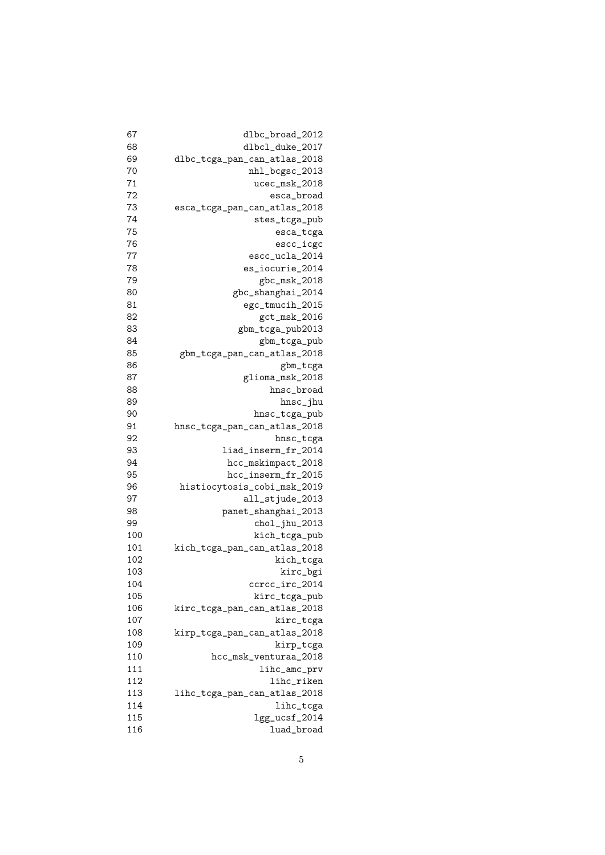| dlbc_broad_2012              |
|------------------------------|
| dlbcl_duke_2017              |
| dlbc_tcga_pan_can_atlas_2018 |
| nhl_bcgsc_2013               |
| ucec_msk_2018                |
| esca_broad                   |
| esca_tcga_pan_can_atlas_2018 |
| stes_tcga_pub                |
| esca_tcga                    |
| escc_icgc                    |
| escc_ucla_2014               |
| es_iocurie_2014              |
| gbc_msk_2018                 |
| gbc_shanghai_2014            |
| egc_tmucih_2015              |
| gct_msk_2016                 |
| gbm_tcga_pub2013             |
| gbm_tcga_pub                 |
| gbm_tcga_pan_can_atlas_2018  |
| gbm_tcga                     |
| glioma_msk_2018              |
| hnsc_broad                   |
| hnsc_jhu                     |
| hnsc_tcga_pub                |
| hnsc_tcga_pan_can_atlas_2018 |
| hnsc_tcga                    |
| liad_inserm_fr_2014          |
| hcc_mskimpact_2018           |
| hcc_inserm_fr_2015           |
| histiocytosis_cobi_msk_2019  |
| all_stjude_2013              |
| panet_shanghai_2013          |
| chol_jhu_2013                |
| kich_tcga_pub                |
| kich_tcga_pan_can_atlas_2018 |
| kich_tcga                    |
| kirc_bgi                     |
| ccrcc_irc_2014               |
| kirc_tcga_pub                |
| kirc_tcga_pan_can_atlas_2018 |
| kirc_tcga                    |
| kirp_tcga_pan_can_atlas_2018 |
| kirp_tcga                    |
| hcc_msk_venturaa_2018        |
| lihc_amc_prv                 |
| lihc_riken                   |
| lihc_tcga_pan_can_atlas_2018 |
| lihc_tcga                    |
| lgg_ucsf_2014                |
| luad_broad                   |
|                              |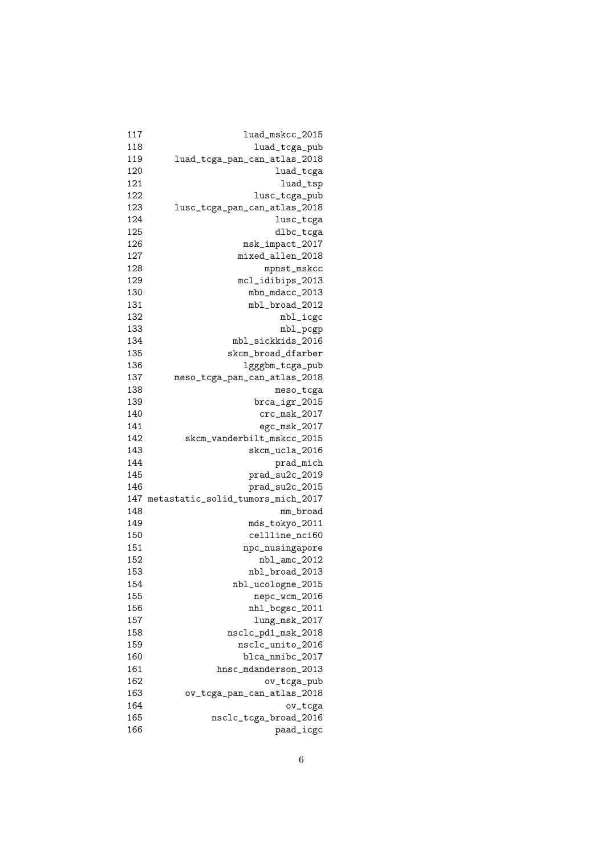| 117 | luad_mskcc_2015                   |
|-----|-----------------------------------|
| 118 | luad_tcga_pub                     |
| 119 | luad_tcga_pan_can_atlas_2018      |
| 120 | luad_tcga                         |
| 121 | luad_tsp                          |
| 122 | lusc_tcga_pub                     |
| 123 | lusc_tcga_pan_can_atlas_2018      |
| 124 | lusc_tcga                         |
| 125 | dlbc_tcga                         |
| 126 | msk_impact_2017                   |
| 127 | mixed_allen_2018                  |
| 128 | mpnst_mskcc                       |
| 129 | mcl_idibips_2013                  |
| 130 | mbn_mdacc_2013                    |
| 131 | mbl_broad_2012                    |
| 132 | mbl_icgc                          |
| 133 | mbl_pcgp                          |
| 134 | mbl_sickkids_2016                 |
| 135 | skcm_broad_dfarber                |
| 136 | lgggbm_tcga_pub                   |
| 137 | meso_tcga_pan_can_atlas_2018      |
| 138 | meso_tcga                         |
| 139 | brca_igr_2015                     |
| 140 | crc_msk_2017                      |
| 141 | egc_msk_2017                      |
| 142 | skcm_vanderbilt_mskcc_2015        |
| 143 | skcm_ucla_2016                    |
| 144 | prad_mich                         |
| 145 | prad_su2c_2019                    |
| 146 | prad_su2c_2015                    |
| 147 | metastatic_solid_tumors_mich_2017 |
| 148 | mm_broad                          |
| 149 | mds_tokyo_2011                    |
| 150 | cellline_nci60                    |
| 151 | npc_nusingapore                   |
| 152 | nbl_amc_2012                      |
| 153 | nbl_broad_2013                    |
| 154 | nbl_ucologne_2015                 |
| 155 | nepc_wcm_2016                     |
| 156 | nhl_bcgsc_2011                    |
| 157 | $lung_msk_2017$                   |
| 158 | nsclc_pd1_msk_2018                |
| 159 | nsclc_unito_2016                  |
| 160 | blca_nmibc_2017                   |
| 161 | hnsc_mdanderson_2013              |
| 162 | ov_tcga_pub                       |
| 163 |                                   |
| 164 | ov_tcga_pan_can_atlas_2018        |
| 165 | ov_tcga                           |
|     | nsclc_tcga_broad_2016             |
| 166 | paad_icgc                         |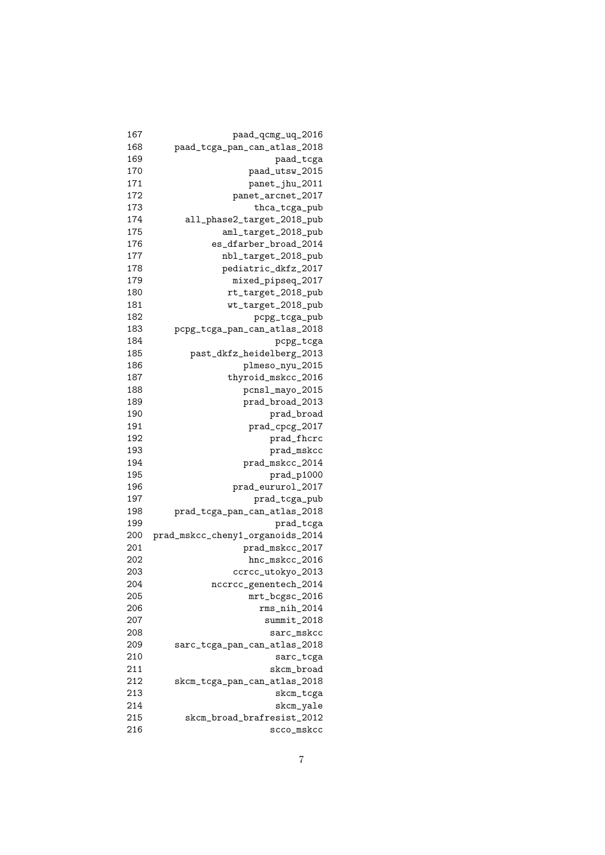| 167 | $\mathtt{paad\_qcmg\_uq\_2016}$                     |
|-----|-----------------------------------------------------|
| 168 | paad_tcga_pan_can_atlas_2018                        |
| 169 | paad_tcga                                           |
| 170 | paad_utsw_2015                                      |
| 171 | panet_jhu_2011                                      |
| 172 | panet_arcnet_2017                                   |
| 173 | thca_tcga_pub                                       |
| 174 | all_phase2_target_2018_pub                          |
| 175 | aml_target_2018_pub                                 |
| 176 | es_dfarber_broad_2014                               |
| 177 | nbl_target_2018_pub                                 |
| 178 | pediatric_dkfz_2017                                 |
| 179 | mixed_pipseq_2017                                   |
| 180 | rt_target_2018_pub                                  |
| 181 | wt_target_2018_pub                                  |
| 182 | pcpg_tcga_pub                                       |
| 183 | pcpg_tcga_pan_can_atlas_2018                        |
| 184 | pcpg_tcga                                           |
| 185 | past_dkfz_heidelberg_2013                           |
| 186 | plmeso_nyu_2015                                     |
| 187 | thyroid_mskcc_2016                                  |
| 188 | pcnsl_mayo_2015                                     |
| 189 | prad_broad_2013                                     |
| 190 | prad_broad                                          |
| 191 | prad_cpcg_2017                                      |
| 192 | prad_fhcrc                                          |
| 193 | prad_mskcc                                          |
| 194 | prad_mskcc_2014                                     |
| 195 | prad_p1000                                          |
| 196 | prad_eururol_2017                                   |
| 197 | prad_tcga_pub                                       |
| 198 | prad_tcga_pan_can_atlas_2018                        |
| 199 | prad_tcga                                           |
| 200 |                                                     |
| 201 | prad_mskcc_cheny1_organoids_2014<br>prad_mskcc_2017 |
| 202 |                                                     |
| 203 | hnc_mskcc_2016                                      |
|     | ccrcc_utokyo_2013                                   |
| 204 | nccrcc_genentech_2014                               |
| 205 | mrt_bcgsc_2016                                      |
| 206 | $rms\_nih\_2014$                                    |
| 207 | $summit_2018$                                       |
| 208 | sarc_mskcc                                          |
| 209 | sarc_tcga_pan_can_atlas_2018                        |
| 210 | sarc_tcga                                           |
| 211 | skcm_broad                                          |
| 212 | skcm_tcga_pan_can_atlas_2018                        |
| 213 | skcm_tcga                                           |
| 214 | skcm_yale                                           |
| 215 | skcm_broad_brafresist_2012                          |
| 216 | scco_mskcc                                          |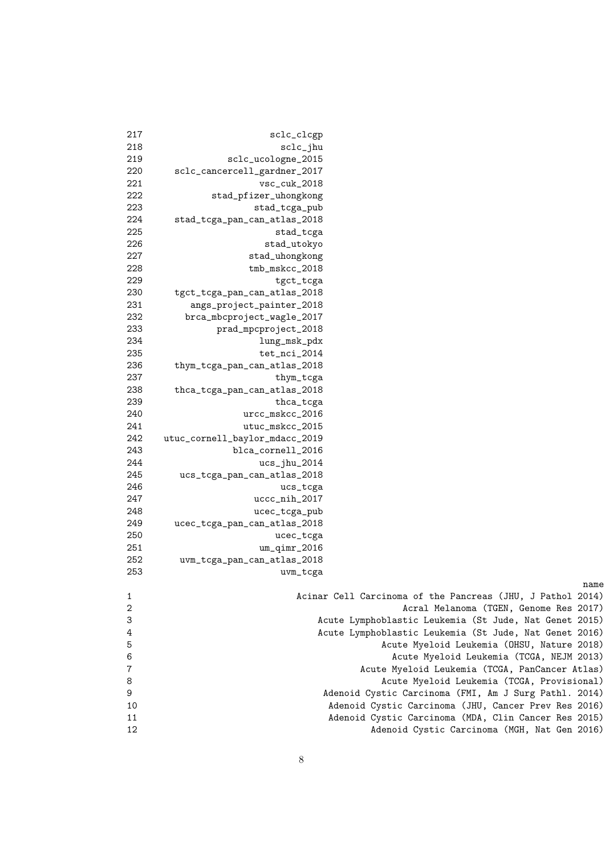| 217          | sclc_clcgp                     |                                                            |
|--------------|--------------------------------|------------------------------------------------------------|
| 218          | $sclc$ _jhu                    |                                                            |
| 219          | sclc_ucologne_2015             |                                                            |
| 220          | sclc_cancercell_gardner_2017   |                                                            |
| 221          | vsc_cuk_2018                   |                                                            |
| 222          | stad_pfizer_uhongkong          |                                                            |
| 223          | stad_tcga_pub                  |                                                            |
| 224          | stad_tcga_pan_can_atlas_2018   |                                                            |
| 225          | stad_tcga                      |                                                            |
| 226          | stad_utokyo                    |                                                            |
| 227          | stad_uhongkong                 |                                                            |
| 228          | tmb_mskcc_2018                 |                                                            |
| 229          | tgct_tcga                      |                                                            |
| 230          | tgct_tcga_pan_can_atlas_2018   |                                                            |
| 231          | angs_project_painter_2018      |                                                            |
| 232          | brca_mbcproject_wagle_2017     |                                                            |
| 233          | prad_mpcproject_2018           |                                                            |
| 234          | lung_msk_pdx                   |                                                            |
| 235          | tet_nci_2014                   |                                                            |
| 236          | thym_tcga_pan_can_atlas_2018   |                                                            |
| 237          | thym_tcga                      |                                                            |
| 238          | thca_tcga_pan_can_atlas_2018   |                                                            |
| 239          | thca_tcga                      |                                                            |
| 240          | urcc_mskcc_2016                |                                                            |
| 241          | utuc_mskcc_2015                |                                                            |
| 242          | utuc_cornell_baylor_mdacc_2019 |                                                            |
| 243          | blca_cornell_2016              |                                                            |
| 244          | $ucs_jhu_2014$                 |                                                            |
| 245          | ucs_tcga_pan_can_atlas_2018    |                                                            |
| 246          | ucs_tcga                       |                                                            |
| 247          | uccc_nih_2017                  |                                                            |
| 248          | ucec_tcga_pub                  |                                                            |
| 249          | ucec_tcga_pan_can_atlas_2018   |                                                            |
| 250          | ucec_tcga                      |                                                            |
| 251          | $um_qimr_2016$                 |                                                            |
| 252          | uvm_tcga_pan_can_atlas_2018    |                                                            |
| 253          | uvm_tcga                       |                                                            |
|              |                                | name                                                       |
| 1            |                                | Acinar Cell Carcinoma of the Pancreas (JHU, J Pathol 2014) |
| $\mathbf{2}$ |                                | Acral Melanoma (TGEN, Genome Res 2017)                     |
| 3            |                                | Acute Lymphoblastic Leukemia (St Jude, Nat Genet 2015)     |
| 4            |                                | Acute Lymphoblastic Leukemia (St Jude, Nat Genet 2016)     |
| 5            |                                | Acute Myeloid Leukemia (OHSU, Nature 2018)                 |
| 6            |                                | Acute Myeloid Leukemia (TCGA, NEJM 2013)                   |
| 7            |                                | Acute Myeloid Leukemia (TCGA, PanCancer Atlas)             |
| 8            |                                | Acute Myeloid Leukemia (TCGA, Provisional)                 |
| 9            |                                | Adenoid Cystic Carcinoma (FMI, Am J Surg Pathl. 2014)      |
| 10           |                                | Adenoid Cystic Carcinoma (JHU, Cancer Prev Res 2016)       |
| 11           |                                | Adenoid Cystic Carcinoma (MDA, Clin Cancer Res 2015)       |
| 12           |                                | Adenoid Cystic Carcinoma (MGH, Nat Gen 2016)               |
|              |                                |                                                            |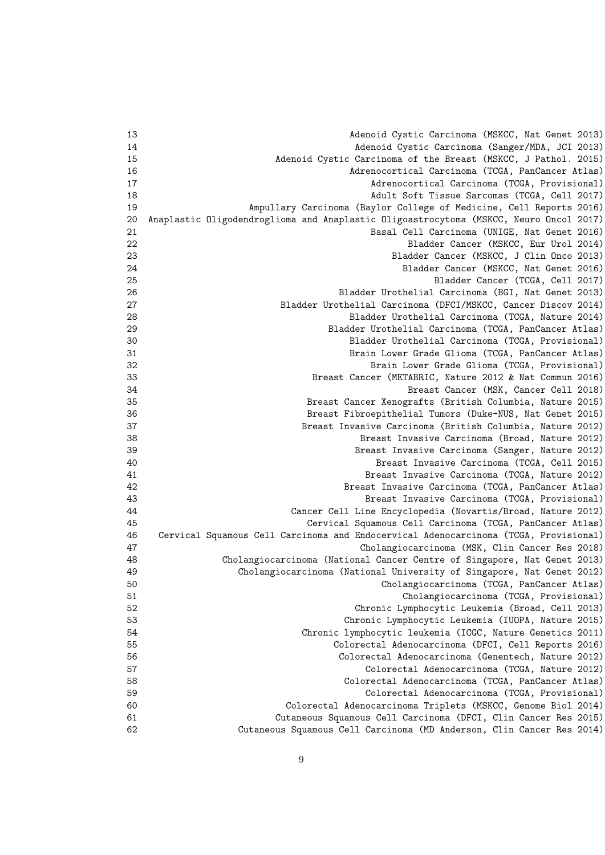| 13 | Adenoid Cystic Carcinoma (MSKCC, Nat Genet 2013)                                       |
|----|----------------------------------------------------------------------------------------|
| 14 | Adenoid Cystic Carcinoma (Sanger/MDA, JCI 2013)                                        |
| 15 | Adenoid Cystic Carcinoma of the Breast (MSKCC, J Pathol. 2015)                         |
| 16 | Adrenocortical Carcinoma (TCGA, PanCancer Atlas)                                       |
| 17 | Adrenocortical Carcinoma (TCGA, Provisional)                                           |
| 18 | Adult Soft Tissue Sarcomas (TCGA, Cell 2017)                                           |
| 19 | Ampullary Carcinoma (Baylor College of Medicine, Cell Reports 2016)                    |
| 20 | Anaplastic Oligodendroglioma and Anaplastic Oligoastrocytoma (MSKCC, Neuro Oncol 2017) |
| 21 | Basal Cell Carcinoma (UNIGE, Nat Genet 2016)                                           |
| 22 | Bladder Cancer (MSKCC, Eur Urol 2014)                                                  |
| 23 | Bladder Cancer (MSKCC, J Clin Onco 2013)                                               |
| 24 | Bladder Cancer (MSKCC, Nat Genet 2016)                                                 |
| 25 | Bladder Cancer (TCGA, Cell 2017)                                                       |
| 26 | Bladder Urothelial Carcinoma (BGI, Nat Genet 2013)                                     |
| 27 | Bladder Urothelial Carcinoma (DFCI/MSKCC, Cancer Discov 2014)                          |
| 28 |                                                                                        |
|    | Bladder Urothelial Carcinoma (TCGA, Nature 2014)                                       |
| 29 | Bladder Urothelial Carcinoma (TCGA, PanCancer Atlas)                                   |
| 30 | Bladder Urothelial Carcinoma (TCGA, Provisional)                                       |
| 31 | Brain Lower Grade Glioma (TCGA, PanCancer Atlas)                                       |
| 32 | Brain Lower Grade Glioma (TCGA, Provisional)                                           |
| 33 | Breast Cancer (METABRIC, Nature 2012 & Nat Commun 2016)                                |
| 34 | Breast Cancer (MSK, Cancer Cell 2018)                                                  |
| 35 | Breast Cancer Xenografts (British Columbia, Nature 2015)                               |
| 36 | Breast Fibroepithelial Tumors (Duke-NUS, Nat Genet 2015)                               |
| 37 | Breast Invasive Carcinoma (British Columbia, Nature 2012)                              |
| 38 | Breast Invasive Carcinoma (Broad, Nature 2012)                                         |
| 39 | Breast Invasive Carcinoma (Sanger, Nature 2012)                                        |
| 40 | Breast Invasive Carcinoma (TCGA, Cell 2015)                                            |
| 41 | Breast Invasive Carcinoma (TCGA, Nature 2012)                                          |
| 42 | Breast Invasive Carcinoma (TCGA, PanCancer Atlas)                                      |
| 43 | Breast Invasive Carcinoma (TCGA, Provisional)                                          |
| 44 | Cancer Cell Line Encyclopedia (Novartis/Broad, Nature 2012)                            |
| 45 | Cervical Squamous Cell Carcinoma (TCGA, PanCancer Atlas)                               |
| 46 | Cervical Squamous Cell Carcinoma and Endocervical Adenocarcinoma (TCGA, Provisional)   |
| 47 | Cholangiocarcinoma (MSK, Clin Cancer Res 2018)                                         |
| 48 | Cholangiocarcinoma (National Cancer Centre of Singapore, Nat Genet 2013)               |
| 49 | Cholangiocarcinoma (National University of Singapore, Nat Genet 2012)                  |
| 50 | Cholangiocarcinoma (TCGA, PanCancer Atlas)                                             |
| 51 | Cholangiocarcinoma (TCGA, Provisional)                                                 |
| 52 | Chronic Lymphocytic Leukemia (Broad, Cell 2013)                                        |
| 53 | Chronic Lymphocytic Leukemia (IUOPA, Nature 2015)                                      |
| 54 | Chronic lymphocytic leukemia (ICGC, Nature Genetics 2011)                              |
| 55 | Colorectal Adenocarcinoma (DFCI, Cell Reports 2016)                                    |
| 56 | Colorectal Adenocarcinoma (Genentech, Nature 2012)                                     |
| 57 | Colorectal Adenocarcinoma (TCGA, Nature 2012)                                          |
| 58 | Colorectal Adenocarcinoma (TCGA, PanCancer Atlas)                                      |
| 59 | Colorectal Adenocarcinoma (TCGA, Provisional)                                          |
| 60 | Colorectal Adenocarcinoma Triplets (MSKCC, Genome Biol 2014)                           |
| 61 | Cutaneous Squamous Cell Carcinoma (DFCI, Clin Cancer Res 2015)                         |
| 62 | Cutaneous Squamous Cell Carcinoma (MD Anderson, Clin Cancer Res 2014)                  |
|    |                                                                                        |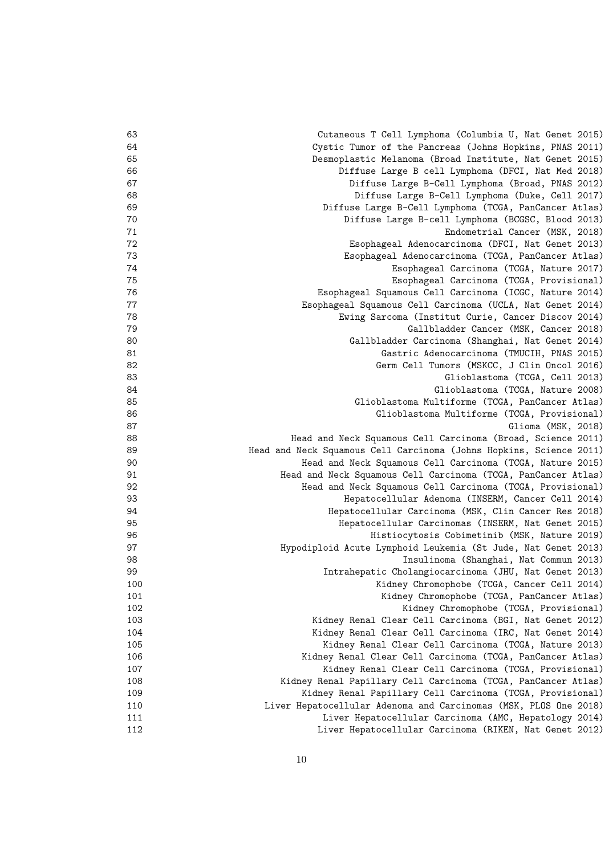| 63  | Cutaneous T Cell Lymphoma (Columbia U, Nat Genet 2015)              |
|-----|---------------------------------------------------------------------|
| 64  | Cystic Tumor of the Pancreas (Johns Hopkins, PNAS 2011)             |
| 65  | Desmoplastic Melanoma (Broad Institute, Nat Genet 2015)             |
| 66  | Diffuse Large B cell Lymphoma (DFCI, Nat Med 2018)                  |
| 67  | Diffuse Large B-Cell Lymphoma (Broad, PNAS 2012)                    |
| 68  | Diffuse Large B-Cell Lymphoma (Duke, Cell 2017)                     |
| 69  | Diffuse Large B-Cell Lymphoma (TCGA, PanCancer Atlas)               |
| 70  | Diffuse Large B-cell Lymphoma (BCGSC, Blood 2013)                   |
| 71  | Endometrial Cancer (MSK, 2018)                                      |
| 72  | Esophageal Adenocarcinoma (DFCI, Nat Genet 2013)                    |
| 73  | Esophageal Adenocarcinoma (TCGA, PanCancer Atlas)                   |
| 74  | Esophageal Carcinoma (TCGA, Nature 2017)                            |
| 75  | Esophageal Carcinoma (TCGA, Provisional)                            |
| 76  | Esophageal Squamous Cell Carcinoma (ICGC, Nature 2014)              |
| 77  | Esophageal Squamous Cell Carcinoma (UCLA, Nat Genet 2014)           |
| 78  | Ewing Sarcoma (Institut Curie, Cancer Discov 2014)                  |
| 79  | Gallbladder Cancer (MSK, Cancer 2018)                               |
| 80  | Gallbladder Carcinoma (Shanghai, Nat Genet 2014)                    |
| 81  | Gastric Adenocarcinoma (TMUCIH, PNAS 2015)                          |
| 82  | Germ Cell Tumors (MSKCC, J Clin Oncol 2016)                         |
| 83  | Glioblastoma (TCGA, Cell 2013)                                      |
| 84  | Glioblastoma (TCGA, Nature 2008)                                    |
| 85  | Glioblastoma Multiforme (TCGA, PanCancer Atlas)                     |
| 86  | Glioblastoma Multiforme (TCGA, Provisional)                         |
| 87  | Glioma (MSK, 2018)                                                  |
| 88  | Head and Neck Squamous Cell Carcinoma (Broad, Science 2011)         |
| 89  | Head and Neck Squamous Cell Carcinoma (Johns Hopkins, Science 2011) |
| 90  | Head and Neck Squamous Cell Carcinoma (TCGA, Nature 2015)           |
| 91  | Head and Neck Squamous Cell Carcinoma (TCGA, PanCancer Atlas)       |
| 92  | Head and Neck Squamous Cell Carcinoma (TCGA, Provisional)           |
| 93  | Hepatocellular Adenoma (INSERM, Cancer Cell 2014)                   |
| 94  | Hepatocellular Carcinoma (MSK, Clin Cancer Res 2018)                |
| 95  | Hepatocellular Carcinomas (INSERM, Nat Genet 2015)                  |
| 96  | Histiocytosis Cobimetinib (MSK, Nature 2019)                        |
| 97  | Hypodiploid Acute Lymphoid Leukemia (St Jude, Nat Genet 2013)       |
| 98  | Insulinoma (Shanghai, Nat Commun 2013)                              |
| 99  | Intrahepatic Cholangiocarcinoma (JHU, Nat Genet 2013)               |
| 100 | Kidney Chromophobe (TCGA, Cancer Cell 2014)                         |
| 101 | Kidney Chromophobe (TCGA, PanCancer Atlas)                          |
| 102 | Kidney Chromophobe (TCGA, Provisional)                              |
| 103 | Kidney Renal Clear Cell Carcinoma (BGI, Nat Genet 2012)             |
| 104 | Kidney Renal Clear Cell Carcinoma (IRC, Nat Genet 2014)             |
| 105 | Kidney Renal Clear Cell Carcinoma (TCGA, Nature 2013)               |
| 106 | Kidney Renal Clear Cell Carcinoma (TCGA, PanCancer Atlas)           |
| 107 | Kidney Renal Clear Cell Carcinoma (TCGA, Provisional)               |
| 108 | Kidney Renal Papillary Cell Carcinoma (TCGA, PanCancer Atlas)       |
| 109 | Kidney Renal Papillary Cell Carcinoma (TCGA, Provisional)           |
| 110 | Liver Hepatocellular Adenoma and Carcinomas (MSK, PLOS One 2018)    |
| 111 | Liver Hepatocellular Carcinoma (AMC, Hepatology 2014)               |
| 112 | Liver Hepatocellular Carcinoma (RIKEN, Nat Genet 2012)              |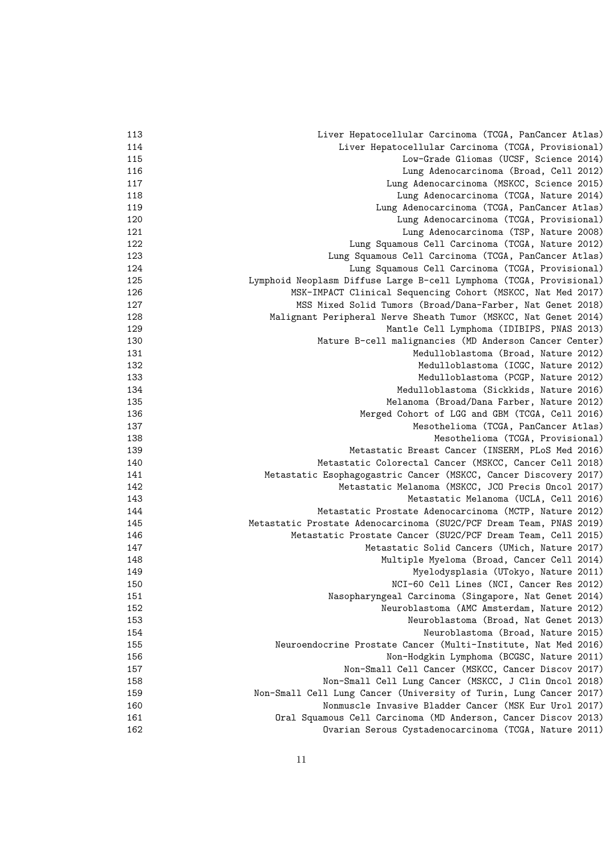| 113 | Liver Hepatocellular Carcinoma (TCGA, PanCancer Atlas)              |
|-----|---------------------------------------------------------------------|
| 114 | Liver Hepatocellular Carcinoma (TCGA, Provisional)                  |
| 115 | Low-Grade Gliomas (UCSF, Science 2014)                              |
| 116 | Lung Adenocarcinoma (Broad, Cell 2012)                              |
| 117 | Lung Adenocarcinoma (MSKCC, Science 2015)                           |
| 118 | Lung Adenocarcinoma (TCGA, Nature 2014)                             |
| 119 | Lung Adenocarcinoma (TCGA, PanCancer Atlas)                         |
| 120 | Lung Adenocarcinoma (TCGA, Provisional)                             |
| 121 | Lung Adenocarcinoma (TSP, Nature 2008)                              |
| 122 | Lung Squamous Cell Carcinoma (TCGA, Nature 2012)                    |
| 123 | Lung Squamous Cell Carcinoma (TCGA, PanCancer Atlas)                |
| 124 | Lung Squamous Cell Carcinoma (TCGA, Provisional)                    |
| 125 | Lymphoid Neoplasm Diffuse Large B-cell Lymphoma (TCGA, Provisional) |
| 126 | MSK-IMPACT Clinical Sequencing Cohort (MSKCC, Nat Med 2017)         |
| 127 | MSS Mixed Solid Tumors (Broad/Dana-Farber, Nat Genet 2018)          |
| 128 | Malignant Peripheral Nerve Sheath Tumor (MSKCC, Nat Genet 2014)     |
| 129 | Mantle Cell Lymphoma (IDIBIPS, PNAS 2013)                           |
| 130 | Mature B-cell malignancies (MD Anderson Cancer Center)              |
| 131 | Medulloblastoma (Broad, Nature 2012)                                |
| 132 | Medulloblastoma (ICGC, Nature 2012)                                 |
| 133 | Medulloblastoma (PCGP, Nature 2012)                                 |
| 134 | Medulloblastoma (Sickkids, Nature 2016)                             |
| 135 | Melanoma (Broad/Dana Farber, Nature 2012)                           |
| 136 | Merged Cohort of LGG and GBM (TCGA, Cell 2016)                      |
| 137 | Mesothelioma (TCGA, PanCancer Atlas)                                |
| 138 | Mesothelioma (TCGA, Provisional)                                    |
| 139 | Metastatic Breast Cancer (INSERM, PLoS Med 2016)                    |
| 140 | Metastatic Colorectal Cancer (MSKCC, Cancer Cell 2018)              |
| 141 | Metastatic Esophagogastric Cancer (MSKCC, Cancer Discovery 2017)    |
| 142 | Metastatic Melanoma (MSKCC, JCO Precis Oncol 2017)                  |
| 143 | Metastatic Melanoma (UCLA, Cell 2016)                               |
| 144 | Metastatic Prostate Adenocarcinoma (MCTP, Nature 2012)              |
| 145 | Metastatic Prostate Adenocarcinoma (SU2C/PCF Dream Team, PNAS 2019) |
| 146 | Metastatic Prostate Cancer (SU2C/PCF Dream Team, Cell 2015)         |
| 147 | Metastatic Solid Cancers (UMich, Nature 2017)                       |
| 148 | Multiple Myeloma (Broad, Cancer Cell 2014)                          |
| 149 | Myelodysplasia (UTokyo, Nature 2011)                                |
| 150 | NCI-60 Cell Lines (NCI, Cancer Res 2012)                            |
| 151 | Nasopharyngeal Carcinoma (Singapore, Nat Genet 2014)                |
| 152 | Neuroblastoma (AMC Amsterdam, Nature 2012)                          |
| 153 | Neuroblastoma (Broad, Nat Genet 2013)                               |
| 154 | Neuroblastoma (Broad, Nature 2015)                                  |
| 155 | Neuroendocrine Prostate Cancer (Multi-Institute, Nat Med 2016)      |
| 156 | Non-Hodgkin Lymphoma (BCGSC, Nature 2011)                           |
| 157 | Non-Small Cell Cancer (MSKCC, Cancer Discov 2017)                   |
| 158 | Non-Small Cell Lung Cancer (MSKCC, J Clin Oncol 2018)               |
| 159 | Non-Small Cell Lung Cancer (University of Turin, Lung Cancer 2017)  |
| 160 | Nonmuscle Invasive Bladder Cancer (MSK Eur Urol 2017)               |
| 161 | Oral Squamous Cell Carcinoma (MD Anderson, Cancer Discov 2013)      |
| 162 | Ovarian Serous Cystadenocarcinoma (TCGA, Nature 2011)               |
|     |                                                                     |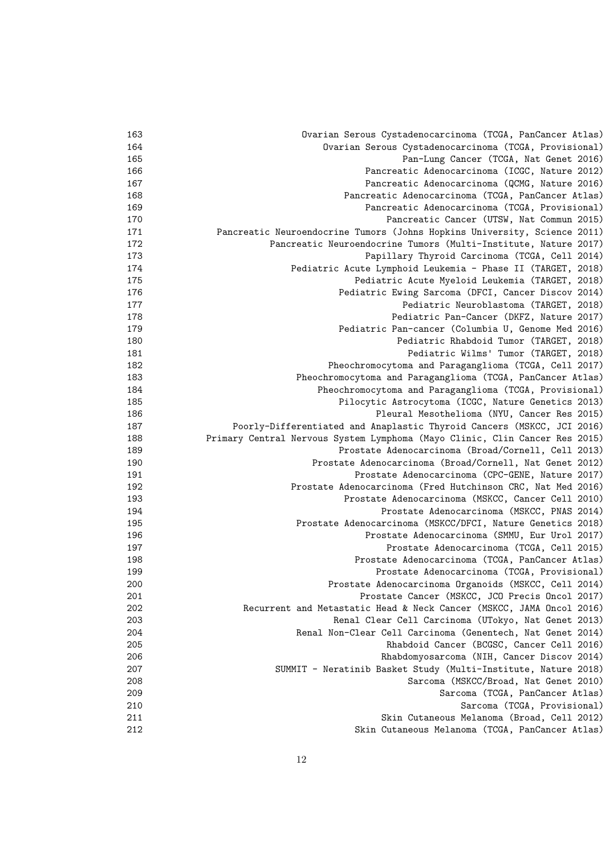| 163 | Ovarian Serous Cystadenocarcinoma (TCGA, PanCancer Atlas)                   |
|-----|-----------------------------------------------------------------------------|
| 164 | Ovarian Serous Cystadenocarcinoma (TCGA, Provisional)                       |
| 165 | Pan-Lung Cancer (TCGA, Nat Genet 2016)                                      |
| 166 | Pancreatic Adenocarcinoma (ICGC, Nature 2012)                               |
| 167 | Pancreatic Adenocarcinoma (QCMG, Nature 2016)                               |
| 168 | Pancreatic Adenocarcinoma (TCGA, PanCancer Atlas)                           |
| 169 | Pancreatic Adenocarcinoma (TCGA, Provisional)                               |
| 170 | Pancreatic Cancer (UTSW, Nat Commun 2015)                                   |
| 171 | Pancreatic Neuroendocrine Tumors (Johns Hopkins University, Science 2011)   |
| 172 | Pancreatic Neuroendocrine Tumors (Multi-Institute, Nature 2017)             |
| 173 | Papillary Thyroid Carcinoma (TCGA, Cell 2014)                               |
| 174 | Pediatric Acute Lymphoid Leukemia - Phase II (TARGET, 2018)                 |
| 175 | Pediatric Acute Myeloid Leukemia (TARGET, 2018)                             |
| 176 | Pediatric Ewing Sarcoma (DFCI, Cancer Discov 2014)                          |
| 177 | Pediatric Neuroblastoma (TARGET, 2018)                                      |
| 178 | Pediatric Pan-Cancer (DKFZ, Nature 2017)                                    |
| 179 | Pediatric Pan-cancer (Columbia U, Genome Med 2016)                          |
| 180 | Pediatric Rhabdoid Tumor (TARGET, 2018)                                     |
| 181 | Pediatric Wilms' Tumor (TARGET, 2018)                                       |
| 182 | Pheochromocytoma and Paraganglioma (TCGA, Cell 2017)                        |
| 183 | Pheochromocytoma and Paraganglioma (TCGA, PanCancer Atlas)                  |
| 184 | Pheochromocytoma and Paraganglioma (TCGA, Provisional)                      |
| 185 | Pilocytic Astrocytoma (ICGC, Nature Genetics 2013)                          |
| 186 | Pleural Mesothelioma (NYU, Cancer Res 2015)                                 |
| 187 | Poorly-Differentiated and Anaplastic Thyroid Cancers (MSKCC, JCI 2016)      |
| 188 | Primary Central Nervous System Lymphoma (Mayo Clinic, Clin Cancer Res 2015) |
| 189 | Prostate Adenocarcinoma (Broad/Cornell, Cell 2013)                          |
| 190 | Prostate Adenocarcinoma (Broad/Cornell, Nat Genet 2012)                     |
| 191 | Prostate Adenocarcinoma (CPC-GENE, Nature 2017)                             |
| 192 | Prostate Adenocarcinoma (Fred Hutchinson CRC, Nat Med 2016)                 |
| 193 | Prostate Adenocarcinoma (MSKCC, Cancer Cell 2010)                           |
| 194 | Prostate Adenocarcinoma (MSKCC, PNAS 2014)                                  |
| 195 | Prostate Adenocarcinoma (MSKCC/DFCI, Nature Genetics 2018)                  |
| 196 | Prostate Adenocarcinoma (SMMU, Eur Urol 2017)                               |
| 197 | Prostate Adenocarcinoma (TCGA, Cell 2015)                                   |
| 198 | Prostate Adenocarcinoma (TCGA, PanCancer Atlas)                             |
| 199 |                                                                             |
|     | Prostate Adenocarcinoma (TCGA, Provisional)                                 |
| 200 | Prostate Adenocarcinoma Organoids (MSKCC, Cell 2014)                        |
| 201 | Prostate Cancer (MSKCC, JCO Precis Oncol 2017)                              |
| 202 | Recurrent and Metastatic Head & Neck Cancer (MSKCC, JAMA Oncol 2016)        |
| 203 | Renal Clear Cell Carcinoma (UTokyo, Nat Genet 2013)                         |
| 204 | Renal Non-Clear Cell Carcinoma (Genentech, Nat Genet 2014)                  |
| 205 | Rhabdoid Cancer (BCGSC, Cancer Cell 2016)                                   |
| 206 | Rhabdomyosarcoma (NIH, Cancer Discov 2014)                                  |
| 207 | SUMMIT - Neratinib Basket Study (Multi-Institute, Nature 2018)              |
| 208 | Sarcoma (MSKCC/Broad, Nat Genet 2010)                                       |
| 209 | Sarcoma (TCGA, PanCancer Atlas)                                             |
| 210 | Sarcoma (TCGA, Provisional)                                                 |
| 211 | Skin Cutaneous Melanoma (Broad, Cell 2012)                                  |
| 212 | Skin Cutaneous Melanoma (TCGA, PanCancer Atlas)                             |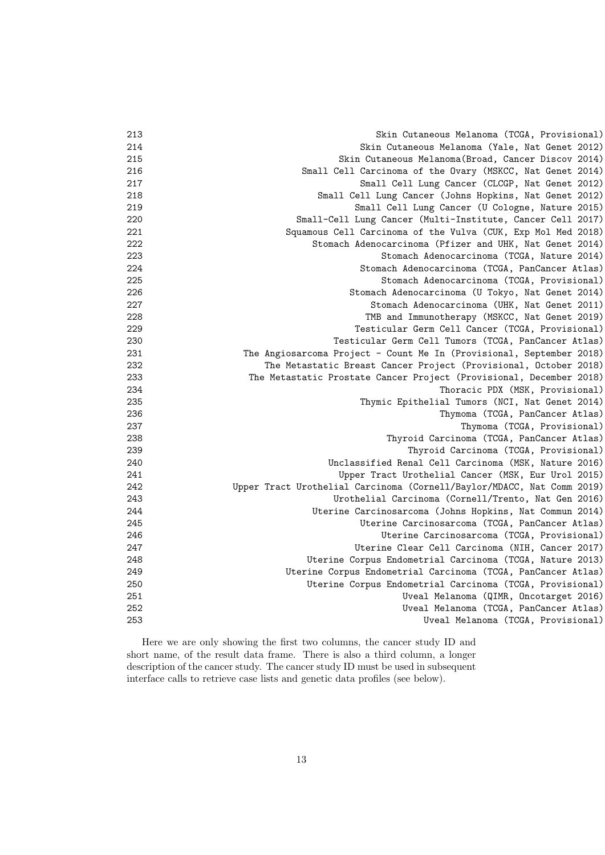| 213 | Skin Cutaneous Melanoma (TCGA, Provisional)                            |
|-----|------------------------------------------------------------------------|
| 214 | Skin Cutaneous Melanoma (Yale, Nat Genet 2012)                         |
| 215 | Skin Cutaneous Melanoma (Broad, Cancer Discov 2014)                    |
| 216 | Small Cell Carcinoma of the Ovary (MSKCC, Nat Genet 2014)              |
| 217 | Small Cell Lung Cancer (CLCGP, Nat Genet 2012)                         |
| 218 | Small Cell Lung Cancer (Johns Hopkins, Nat Genet 2012)                 |
| 219 | Small Cell Lung Cancer (U Cologne, Nature 2015)                        |
| 220 | Small-Cell Lung Cancer (Multi-Institute, Cancer Cell 2017)             |
| 221 | Squamous Cell Carcinoma of the Vulva (CUK, Exp Mol Med 2018)           |
| 222 | Stomach Adenocarcinoma (Pfizer and UHK, Nat Genet 2014)                |
| 223 | Stomach Adenocarcinoma (TCGA, Nature 2014)                             |
| 224 | Stomach Adenocarcinoma (TCGA, PanCancer Atlas)                         |
| 225 | Stomach Adenocarcinoma (TCGA, Provisional)                             |
| 226 | Stomach Adenocarcinoma (U Tokyo, Nat Genet 2014)                       |
| 227 | Stomach Adenocarcinoma (UHK, Nat Genet 2011)                           |
| 228 | TMB and Immunotherapy (MSKCC, Nat Genet 2019)                          |
| 229 | Testicular Germ Cell Cancer (TCGA, Provisional)                        |
| 230 | Testicular Germ Cell Tumors (TCGA, PanCancer Atlas)                    |
| 231 | The Angiosarcoma Project - Count Me In (Provisional, September 2018)   |
| 232 | The Metastatic Breast Cancer Project (Provisional, October 2018)       |
| 233 | The Metastatic Prostate Cancer Project (Provisional, December 2018)    |
| 234 | Thoracic PDX (MSK, Provisional)                                        |
| 235 | Thymic Epithelial Tumors (NCI, Nat Genet 2014)                         |
| 236 | Thymoma (TCGA, PanCancer Atlas)                                        |
| 237 | Thymoma (TCGA, Provisional)                                            |
| 238 | Thyroid Carcinoma (TCGA, PanCancer Atlas)                              |
| 239 | Thyroid Carcinoma (TCGA, Provisional)                                  |
| 240 | Unclassified Renal Cell Carcinoma (MSK, Nature 2016)                   |
| 241 | Upper Tract Urothelial Cancer (MSK, Eur Urol 2015)                     |
| 242 | Upper Tract Urothelial Carcinoma (Cornell/Baylor/MDACC, Nat Comm 2019) |
| 243 | Urothelial Carcinoma (Cornell/Trento, Nat Gen 2016)                    |
| 244 | Uterine Carcinosarcoma (Johns Hopkins, Nat Commun 2014)                |
| 245 | Uterine Carcinosarcoma (TCGA, PanCancer Atlas)                         |
| 246 | Uterine Carcinosarcoma (TCGA, Provisional)                             |
| 247 | Uterine Clear Cell Carcinoma (NIH, Cancer 2017)                        |
| 248 | Uterine Corpus Endometrial Carcinoma (TCGA, Nature 2013)               |
| 249 | Uterine Corpus Endometrial Carcinoma (TCGA, PanCancer Atlas)           |
| 250 | Uterine Corpus Endometrial Carcinoma (TCGA, Provisional)               |
| 251 | Uveal Melanoma (QIMR, Oncotarget 2016)                                 |
| 252 | Uveal Melanoma (TCGA, PanCancer Atlas)                                 |
| 253 | Uveal Melanoma (TCGA, Provisional)                                     |
|     |                                                                        |

Here we are only showing the first two columns, the cancer study ID and short name, of the result data frame. There is also a third column, a longer description of the cancer study. The cancer study ID must be used in subsequent interface calls to retrieve case lists and genetic data profiles (see below).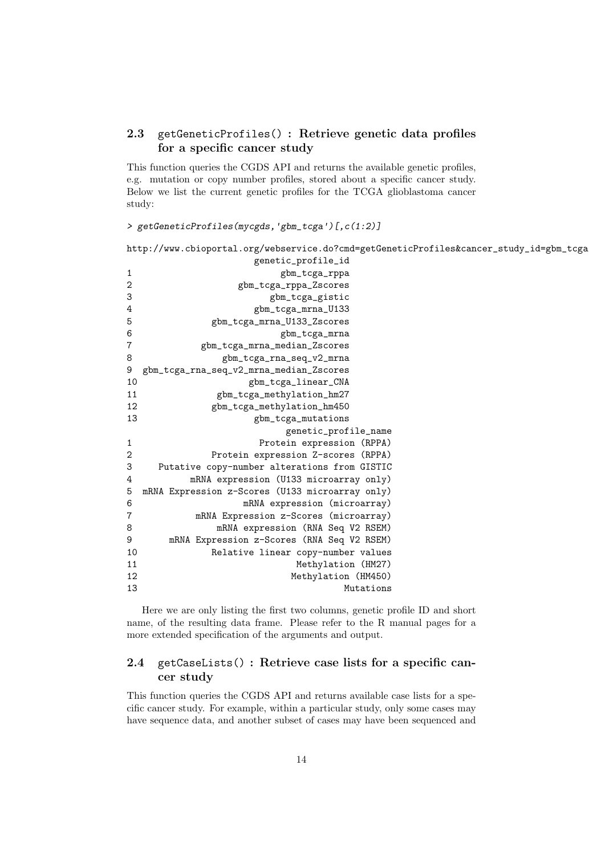## 2.3 getGeneticProfiles() : Retrieve genetic data profiles for a specific cancer study

This function queries the CGDS API and returns the available genetic profiles, e.g. mutation or copy number profiles, stored about a specific cancer study. Below we list the current genetic profiles for the TCGA glioblastoma cancer study:

```
> getGeneticProfiles(mycgds,'gbm_tcga')[,c(1:2)]
```

```
http://www.cbioportal.org/webservice.do?cmd=getGeneticProfiles&cancer_study_id=gbm_tcga
```

|                | genetic_profile_id                              |  |  |
|----------------|-------------------------------------------------|--|--|
| $\mathbf{1}$   | gbm_tcga_rppa                                   |  |  |
| $\overline{2}$ | gbm_tcga_rppa_Zscores                           |  |  |
| 3              | gbm_tcga_gistic                                 |  |  |
| 4              | gbm_tcga_mrna_U133                              |  |  |
| 5              | gbm_tcga_mrna_U133_Zscores                      |  |  |
| 6              | gbm_tcga_mrna                                   |  |  |
| $\overline{7}$ | gbm_tcga_mrna_median_Zscores                    |  |  |
| 8              | gbm_tcga_rna_seq_v2_mrna                        |  |  |
| 9              | gbm_tcga_rna_seq_v2_mrna_median_Zscores         |  |  |
| 10             | gbm_tcga_linear_CNA                             |  |  |
| 11             | gbm_tcga_methylation_hm27                       |  |  |
| 12             | gbm_tcga_methylation_hm450                      |  |  |
| 13             | gbm_tcga_mutations                              |  |  |
|                | genetic_profile_name                            |  |  |
| $\mathbf{1}$   | Protein expression (RPPA)                       |  |  |
| 2              | Protein expression Z-scores (RPPA)              |  |  |
| 3              | Putative copy-number alterations from GISTIC    |  |  |
| 4              | mRNA expression (U133 microarray only)          |  |  |
| 5              | mRNA Expression z-Scores (U133 microarray only) |  |  |
| 6              | mRNA expression (microarray)                    |  |  |
| 7              | mRNA Expression z-Scores (microarray)           |  |  |
| 8              | mRNA expression (RNA Seq V2 RSEM)               |  |  |
| 9              | mRNA Expression z-Scores (RNA Seq V2 RSEM)      |  |  |
| 10             | Relative linear copy-number values              |  |  |
| 11             | Methylation (HM27)                              |  |  |
| 12             | Methylation (HM450)                             |  |  |
| 13             | Mutations                                       |  |  |

Here we are only listing the first two columns, genetic profile ID and short name, of the resulting data frame. Please refer to the R manual pages for a more extended specification of the arguments and output.

## 2.4 getCaseLists() : Retrieve case lists for a specific cancer study

This function queries the CGDS API and returns available case lists for a specific cancer study. For example, within a particular study, only some cases may have sequence data, and another subset of cases may have been sequenced and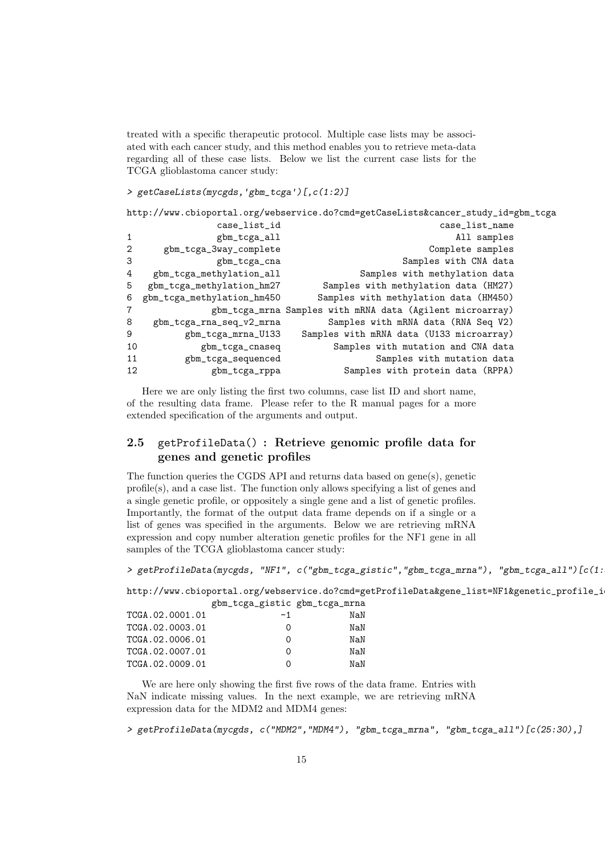treated with a specific therapeutic protocol. Multiple case lists may be associated with each cancer study, and this method enables you to retrieve meta-data regarding all of these case lists. Below we list the current case lists for the TCGA glioblastoma cancer study:

```
> getCaseLists(mycgds,'gbm_tcga')[,c(1:2)]
```

| http://www.cbioportal.org/webservice.do?cmd=getCaseLists&cancer_study_id=gbm_tcga |                            |                                                           |  |  |  |  |
|-----------------------------------------------------------------------------------|----------------------------|-----------------------------------------------------------|--|--|--|--|
|                                                                                   | case_list_id               | case_list_name                                            |  |  |  |  |
| 1                                                                                 | gbm_tcga_all               | All samples                                               |  |  |  |  |
| $\mathbf{2}$                                                                      | gbm_tcga_3way_complete     | Complete samples                                          |  |  |  |  |
| 3                                                                                 | gbm_tcga_cna               | Samples with CNA data                                     |  |  |  |  |
| 4                                                                                 | gbm_tcga_methylation_all   | Samples with methylation data                             |  |  |  |  |
| 5                                                                                 | gbm_tcga_methylation_hm27  | Samples with methylation data (HM27)                      |  |  |  |  |
| 6                                                                                 | gbm_tcga_methylation_hm450 | Samples with methylation data (HM450)                     |  |  |  |  |
| $\overline{7}$                                                                    |                            | gbm_tcga_mrna Samples with mRNA data (Agilent microarray) |  |  |  |  |
| 8                                                                                 | gbm_tcga_rna_seq_v2_mrna   | Samples with mRNA data (RNA Seq V2)                       |  |  |  |  |
| 9                                                                                 | gbm_tcga_mrna_U133         | Samples with mRNA data (U133 microarray)                  |  |  |  |  |
| 10                                                                                | gbm_tcga_cnaseq            | Samples with mutation and CNA data                        |  |  |  |  |
| 11                                                                                | gbm_tcga_sequenced         | Samples with mutation data                                |  |  |  |  |
| 12                                                                                | gbm_tcga_rppa              | Samples with protein data (RPPA)                          |  |  |  |  |
|                                                                                   |                            |                                                           |  |  |  |  |

Here we are only listing the first two columns, case list ID and short name, of the resulting data frame. Please refer to the R manual pages for a more extended specification of the arguments and output.

## 2.5 getProfileData() : Retrieve genomic profile data for genes and genetic profiles

The function queries the CGDS API and returns data based on gene(s), genetic profile(s), and a case list. The function only allows specifying a list of genes and a single genetic profile, or oppositely a single gene and a list of genetic profiles. Importantly, the format of the output data frame depends on if a single or a list of genes was specified in the arguments. Below we are retrieving mRNA expression and copy number alteration genetic profiles for the NF1 gene in all samples of the TCGA glioblastoma cancer study:

> getProfileData(mycgds, "NF1", c("gbm\_tcga\_gistic","gbm\_tcga\_mrna"), "gbm\_tcga\_all")[c(1:

http://www.cbioportal.org/webservice.do?cmd=getProfileData&gene\_list=NF1&genetic\_profile\_i gbm\_tcga\_gistic gbm\_tcga\_mrna

|                 | $50m - 005u - 510v + 010v - 005u - 000v$ |     |
|-----------------|------------------------------------------|-----|
| TCGA.02.0001.01 | -1                                       | NaN |
| TCGA.02.0003.01 |                                          | NaN |
| TCGA.02.0006.01 |                                          | NaN |
| TCGA.02.0007.01 |                                          | NaN |
| TCGA.02.0009.01 |                                          | NaN |
|                 |                                          |     |

We are here only showing the first five rows of the data frame. Entries with NaN indicate missing values. In the next example, we are retrieving mRNA expression data for the MDM2 and MDM4 genes:

> getProfileData(mycgds, c("MDM2","MDM4"), "gbm\_tcga\_mrna", "gbm\_tcga\_all")[c(25:30),]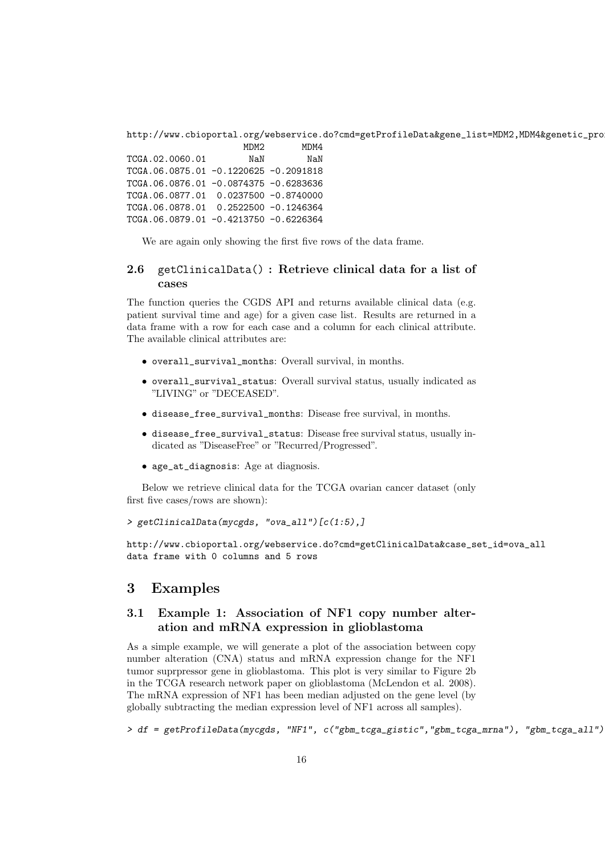http://www.cbioportal.org/webservice.do?cmd=getProfileData&gene\_list=MDM2,MDM4&genetic\_pro MDM2 MDM4

TCGA.02.0060.01 NaN NaN TCGA.06.0875.01 -0.1220625 -0.2091818 TCGA.06.0876.01 -0.0874375 -0.6283636 TCGA.06.0877.01 0.0237500 -0.8740000 TCGA.06.0878.01 0.2522500 -0.1246364 TCGA.06.0879.01 -0.4213750 -0.6226364

We are again only showing the first five rows of the data frame.

#### 2.6 getClinicalData() : Retrieve clinical data for a list of cases

The function queries the CGDS API and returns available clinical data (e.g. patient survival time and age) for a given case list. Results are returned in a data frame with a row for each case and a column for each clinical attribute. The available clinical attributes are:

- overall\_survival\_months: Overall survival, in months.
- overall\_survival\_status: Overall survival status, usually indicated as "LIVING" or "DECEASED".
- disease\_free\_survival\_months: Disease free survival, in months.
- disease\_free\_survival\_status: Disease free survival status, usually indicated as "DiseaseFree" or "Recurred/Progressed".
- age\_at\_diagnosis: Age at diagnosis.

Below we retrieve clinical data for the TCGA ovarian cancer dataset (only first five cases/rows are shown):

```
> getClinicalData(mycgds, "ova_all")[c(1:5),]
```
http://www.cbioportal.org/webservice.do?cmd=getClinicalData&case\_set\_id=ova\_all data frame with 0 columns and 5 rows

#### 3 Examples

#### 3.1 Example 1: Association of NF1 copy number alteration and mRNA expression in glioblastoma

As a simple example, we will generate a plot of the association between copy number alteration (CNA) status and mRNA expression change for the NF1 tumor suprpressor gene in glioblastoma. This plot is very similar to Figure 2b in the TCGA research network paper on glioblastoma (McLendon et al. 2008). The mRNA expression of NF1 has been median adjusted on the gene level (by globally subtracting the median expression level of NF1 across all samples).

> df = getProfileData(mycgds, "NF1", c("gbm\_tcga\_gistic","gbm\_tcga\_mrna"), "gbm\_tcga\_all")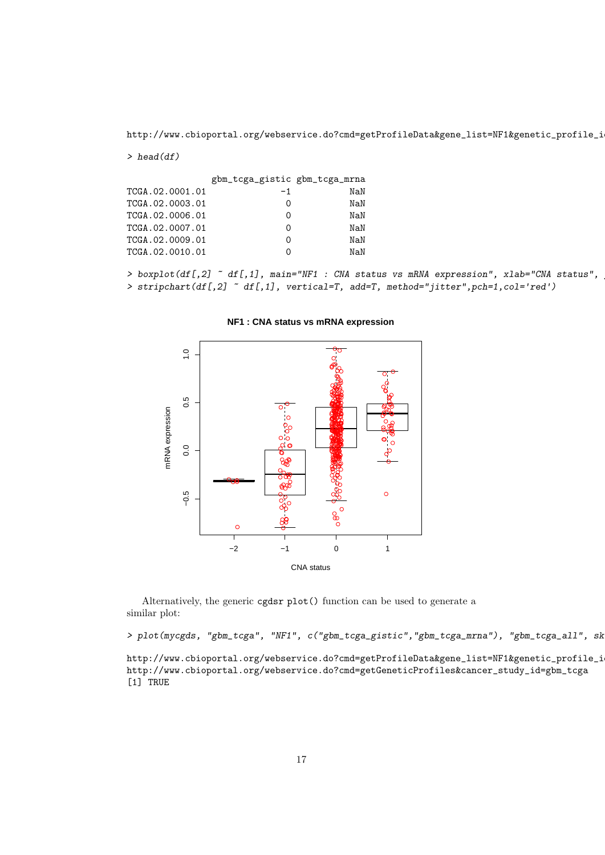http://www.cbioportal.org/webservice.do?cmd=getProfileData&gene\_list=NF1&genetic\_profile\_i

#### $>$  head(df)

|                 | gbm_tcga_gistic gbm_tcga_mrna |     |
|-----------------|-------------------------------|-----|
| TCGA.02.0001.01 | $-1$                          | NaN |
| TCGA.02.0003.01 | O                             | NaN |
| TCGA.02.0006.01 | O                             | NaN |
| TCGA.02.0007.01 | Ω                             | NaN |
| TCGA.02.0009.01 | Ω                             | NaN |
| TCGA.02.0010.01 | Ω                             | NaN |

> boxplot(df[,2] ~ df[,1], main="NF1 : CNA status vs mRNA expression", xlab="CNA status", > stripchart(df[,2] ~ df[,1], vertical=T, add=T, method="jitter",pch=1,col='red')

#### **NF1 : CNA status vs mRNA expression**



Alternatively, the generic cgdsr plot() function can be used to generate a similar plot:

> plot(mycgds, "gbm\_tcga", "NF1", c("gbm\_tcga\_gistic","gbm\_tcga\_mrna"), "gbm\_tcga\_all", sk

http://www.cbioportal.org/webservice.do?cmd=getProfileData&gene\_list=NF1&genetic\_profile\_i http://www.cbioportal.org/webservice.do?cmd=getGeneticProfiles&cancer\_study\_id=gbm\_tcga [1] TRUE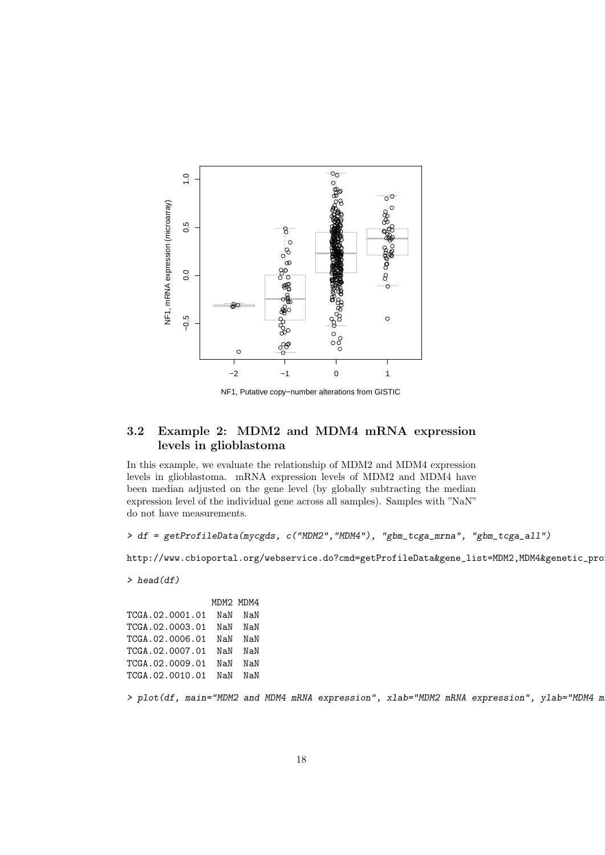

NF1, Putative copy−number alterations from GISTIC

#### 3.2 Example 2: MDM2 and MDM4 mRNA expression levels in glioblastoma

In this example, we evaluate the relationship of MDM2 and MDM4 expression levels in glioblastoma. mRNA expression levels of MDM2 and MDM4 have been median adjusted on the gene level (by globally subtracting the median expression level of the individual gene across all samples). Samples with "NaN" do not have measurements.

> df = getProfileData(mycgds, c("MDM2","MDM4"), "gbm\_tcga\_mrna", "gbm\_tcga\_all")

http://www.cbioportal.org/webservice.do?cmd=getProfileData&gene\_list=MDM2,MDM4&genetic\_pro

 $>$  head(df)

MDM2 MDM4 TCGA.02.0001.01 NaN NaN TCGA.02.0003.01 NaN NaN TCGA.02.0006.01 NaN NaN TCGA.02.0007.01 NaN NaN TCGA.02.0009.01 NaN NaN TCGA.02.0010.01 NaN NaN

> plot(df, main="MDM2 and MDM4 mRNA expression", xlab="MDM2 mRNA expression", ylab="MDM4 m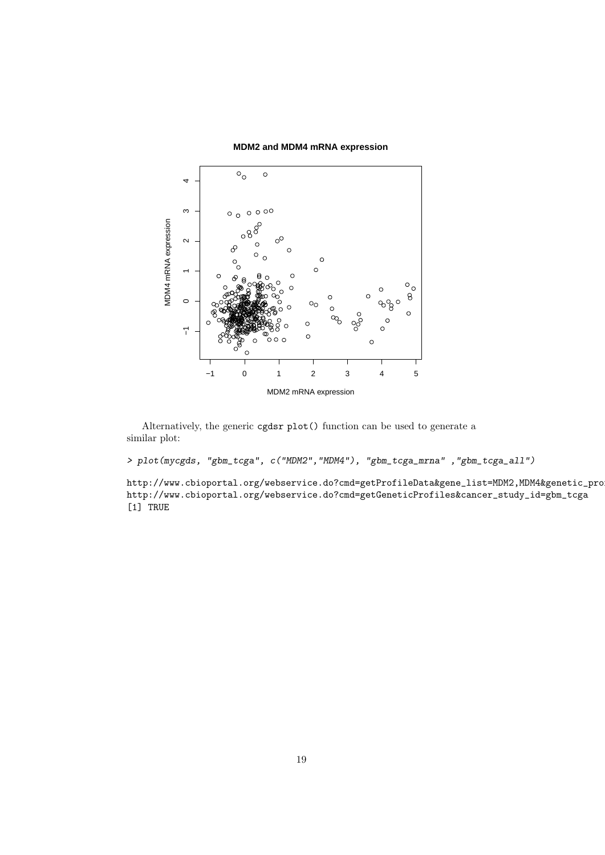



Alternatively, the generic cgdsr plot() function can be used to generate a similar plot:

> plot(mycgds, "gbm\_tcga", c("MDM2","MDM4"), "gbm\_tcga\_mrna" ,"gbm\_tcga\_all")

http://www.cbioportal.org/webservice.do?cmd=getProfileData&gene\_list=MDM2,MDM4&genetic\_pro http://www.cbioportal.org/webservice.do?cmd=getGeneticProfiles&cancer\_study\_id=gbm\_tcga  $[1]$  TRUE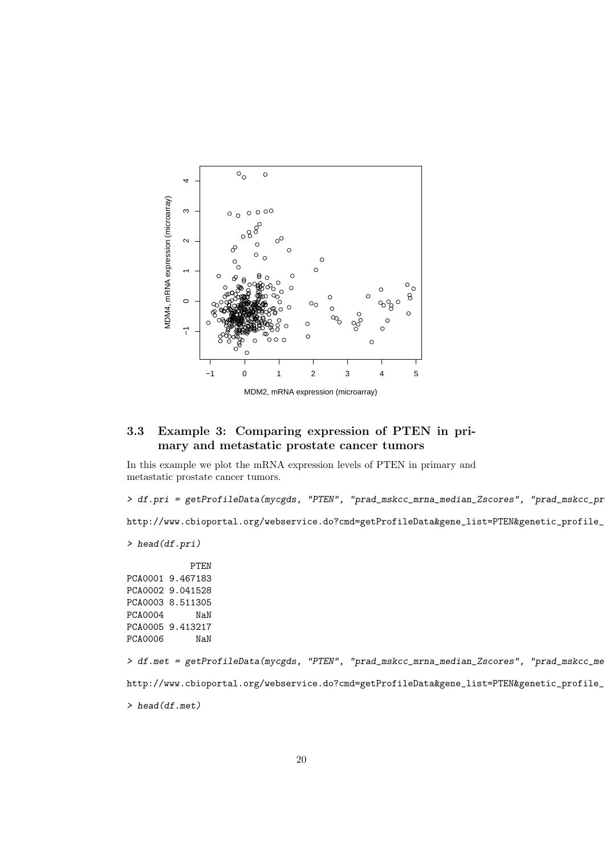

#### 3.3 Example 3: Comparing expression of PTEN in primary and metastatic prostate cancer tumors

In this example we plot the mRNA expression levels of PTEN in primary and metastatic prostate cancer tumors.

> df.pri = getProfileData(mycgds, "PTEN", "prad\_mskcc\_mrna\_median\_Zscores", "prad\_mskcc\_pr

http://www.cbioportal.org/webservice.do?cmd=getProfileData&gene\_list=PTEN&genetic\_profile\_

```
> head(df.pri)
```
PTEN PCA0001 9.467183 PCA0002 9.041528 PCA0003 8.511305 PCA0004 NaN PCA0005 9.413217<br>PCA0006 NaN PCA0006

> df.met = getProfileData(mycgds, "PTEN", "prad\_mskcc\_mrna\_median\_Zscores", "prad\_mskcc\_me http://www.cbioportal.org/webservice.do?cmd=getProfileData&gene\_list=PTEN&genetic\_profile\_

> head(df.met)